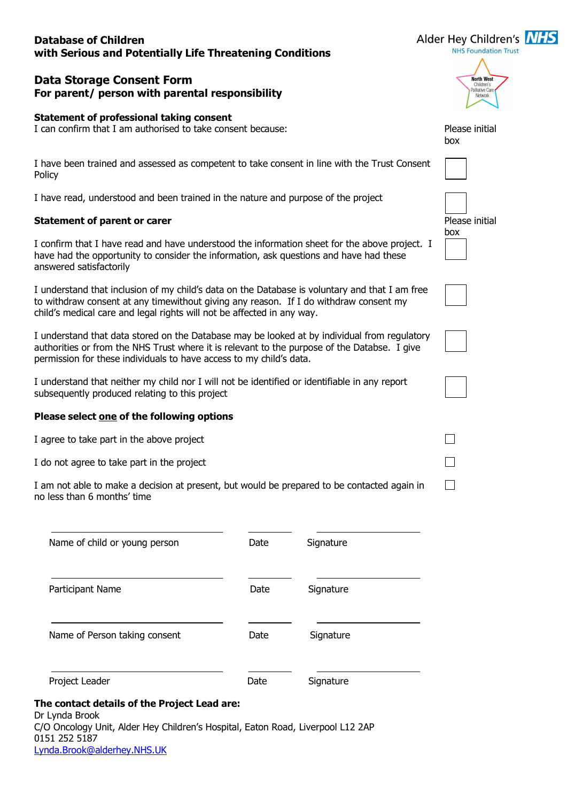## **Database of Children with Serious and Potentially Life Threatening Conditions**

# **Data Storage Consent Form For parent/ person with parental responsibility**

#### **Statement of professional taking consent**

I can confirm that I am authorised to take consent because:

I have been trained and assessed as competent to take consent in line with the Trust Consent Policy

I have read, understood and been trained in the nature and purpose of the project

### **Statement of parent or carer**

I confirm that I have read and have understood the information sheet for the above project. I have had the opportunity to consider the information, ask questions and have had these answered satisfactorily

I understand that inclusion of my child's data on the Database is voluntary and that I am free to withdraw consent at any timewithout giving any reason. If I do withdraw consent my child's medical care and legal rights will not be affected in any way.

I understand that data stored on the Database may be looked at by individual from regulatory authorities or from the NHS Trust where it is relevant to the purpose of the Databse. I give permission for these individuals to have access to my child's data.

I understand that neither my child nor I will not be identified or identifiable in any report subsequently produced relating to this project

#### **Please select one of the following options**

I agree to take part in the above project

I do not agree to take part in the project

0151 252 5187

[Lynda.Brook@alderhey.NHS.UK](mailto:Lynda.Brook@alderhey.NHS.UK)

I am not able to make a decision at present, but would be prepared to be contacted again in no less than 6 months' time

| Date                                         | Signature                                                                       |
|----------------------------------------------|---------------------------------------------------------------------------------|
| Date                                         | Signature                                                                       |
| <b>Date</b>                                  | Signature                                                                       |
| Date                                         | Signature                                                                       |
| The contact details of the Project Lead are: | C/O Oncology Unit, Alder Hey Children's Hospital, Eaton Road, Liverpool L12 2AP |
|                                              |                                                                                 |

**NHS Foundation Trust** North West Palliative C

Alder Hey Children's NHS

| Please initial<br>box |
|-----------------------|
|                       |
| Please initial<br>box |
|                       |
|                       |
|                       |
|                       |

П

 $\Box$